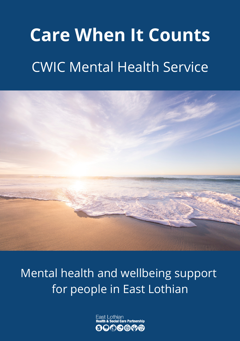# **Care When It Counts** CWIC Mental Health Service



Mental health and wellbeing support for people in East Lothian

> Fast Lothian are Partnershin ゆめめ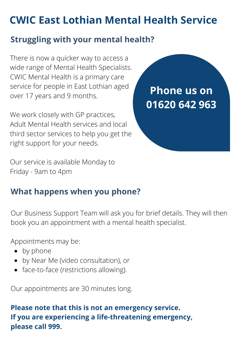# **CWIC East Lothian Mental Health Service**

## **Struggling with your mental health?**

There is now a quicker way to access a wide range of Mental Health Specialists. CWIC Mental Health is a primary care service for people in East Lothian aged over 17 years and 9 months.

We work closely with GP practices, Adult Mental Health services and local third sector services to help you get the right support for your needs.

**Phone us on 01620 642 963**

Our service is available Monday to Friday - 9am to 4pm

## **What happens when you phone?**

Our Business Support Team will ask you for brief details. They will then book you an appointment with a mental health specialist.

Appointments may be:

- by phone
- by Near Me (video consultation), or
- face-to-face (restrictions allowing).

Our appointments are 30 minutes long.

#### **Please note that this is not an emergency service. If you are experiencing a life-threatening emergency, please call 999.**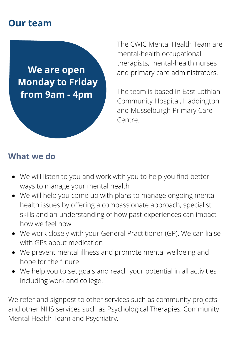## **Our team**

**We are open Monday to Friday from 9am - 4pm**

The CWIC Mental Health Team are mental-health occupational therapists, mental-health nurses and primary care administrators.

The team is based in East Lothian Community Hospital, Haddington and Musselburgh Primary Care Centre.

#### **What we do**

- We will listen to you and work with you to help you find better ways to manage your mental health
- We will help you come up with plans to manage ongoing mental health issues by offering a compassionate approach, specialist skills and an understanding of how past experiences can impact how we feel now
- We work closely with your General Practitioner (GP). We can liaise with GPs about medication
- We prevent mental illness and promote mental wellbeing and hope for the future
- We help you to set goals and reach your potential in all activities including work and college.

We refer and signpost to other services such as community projects and other NHS services such as Psychological Therapies, Community Mental Health Team and Psychiatry.